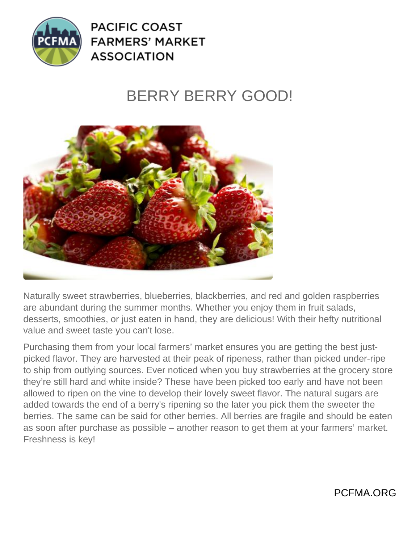

**PACIFIC COAST FARMERS' MARKET ASSOCIATION** 

## BERRY BERRY GOOD!



Naturally sweet strawberries, blueberries, blackberries, and red and golden raspberries are abundant during the summer months. Whether you enjoy them in fruit salads, desserts, smoothies, or just eaten in hand, they are delicious! With their hefty nutritional value and sweet taste you can't lose.

Purchasing them from your local farmers' market ensures you are getting the best justpicked flavor. They are harvested at their peak of ripeness, rather than picked under-ripe to ship from outlying sources. Ever noticed when you buy strawberries at the grocery store they're still hard and white inside? These have been picked too early and have not been allowed to ripen on the vine to develop their lovely sweet flavor. The natural sugars are added towards the end of a berry's ripening so the later you pick them the sweeter the berries. The same can be said for other berries. All berries are fragile and should be eaten as soon after purchase as possible – another reason to get them at your farmers' market. Freshness is key!